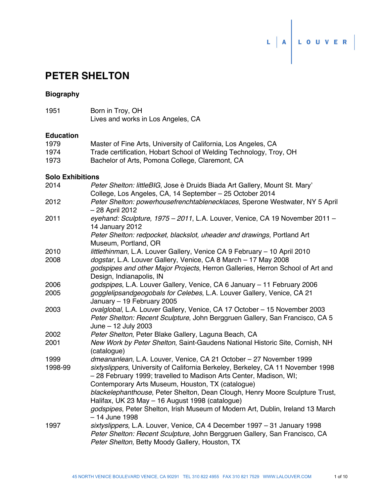

# **PETER SHELTON**

# **Biography**

1951 Born in Troy, OH Lives and works in Los Angeles, CA

#### **Education**

| 1979  | Master of Fine Arts, University of California, Los Angeles, CA     |
|-------|--------------------------------------------------------------------|
| 1974  | Trade certification, Hobart School of Welding Technology, Troy, OH |
| 1973. | Bachelor of Arts, Pomona College, Claremont, CA                    |

#### **Solo Exhibitions**

| 2014    | Peter Shelton: littleBIG, Jose è Druids Biada Art Gallery, Mount St. Mary'                                                                                                                                |
|---------|-----------------------------------------------------------------------------------------------------------------------------------------------------------------------------------------------------------|
|         | College, Los Angeles, CA, 14 September - 25 October 2014                                                                                                                                                  |
| 2012    | Peter Shelton: powerhousefrenchtablenecklaces, Sperone Westwater, NY 5 April<br>- 28 April 2012                                                                                                           |
| 2011    | eyehand: Sculpture, 1975 - 2011, L.A. Louver, Venice, CA 19 November 2011 -<br>14 January 2012                                                                                                            |
|         | Peter Shelton: redpocket, blackslot, uheader and drawings, Portland Art<br>Museum, Portland, OR                                                                                                           |
| 2010    | littlethinman, L.A. Louver Gallery, Venice CA 9 February - 10 April 2010                                                                                                                                  |
| 2008    | dogstar, L.A. Louver Gallery, Venice, CA 8 March - 17 May 2008                                                                                                                                            |
|         | godspipes and other Major Projects, Herron Galleries, Herron School of Art and<br>Design, Indianapolis, IN                                                                                                |
| 2006    | godspipes, L.A. Louver Gallery, Venice, CA 6 January - 11 February 2006                                                                                                                                   |
| 2005    | gogglelipsandgeogobals for Celebes, L.A. Louver Gallery, Venice, CA 21<br>January - 19 February 2005                                                                                                      |
| 2003    | ovalglobal, L.A. Louver Gallery, Venice, CA 17 October - 15 November 2003<br>Peter Shelton: Recent Sculpture, John Berggruen Gallery, San Francisco, CA 5<br>June - 12 July 2003                          |
| 2002    | Peter Shelton, Peter Blake Gallery, Laguna Beach, CA                                                                                                                                                      |
| 2001    | New Work by Peter Shelton, Saint-Gaudens National Historic Site, Cornish, NH<br>(catalogue)                                                                                                               |
| 1999    | dmeananlean, L.A. Louver, Venice, CA 21 October - 27 November 1999                                                                                                                                        |
| 1998-99 | sixtyslippers, University of California Berkeley, Berkeley, CA 11 November 1998<br>- 28 February 1999; travelled to Madison Arts Center, Madison, WI;                                                     |
|         | Contemporary Arts Museum, Houston, TX (catalogue)                                                                                                                                                         |
|         | blackelephanthouse, Peter Shelton, Dean Clough, Henry Moore Sculpture Trust,<br>Halifax, UK 23 May - 16 August 1998 (catalogue)                                                                           |
|         | godspipes, Peter Shelton, Irish Museum of Modern Art, Dublin, Ireland 13 March<br>$-14$ June 1998                                                                                                         |
| 1997    | sixtyslippers, L.A. Louver, Venice, CA 4 December 1997 - 31 January 1998<br>Peter Shelton: Recent Sculpture, John Berggruen Gallery, San Francisco, CA<br>Peter Shelton, Betty Moody Gallery, Houston, TX |
|         |                                                                                                                                                                                                           |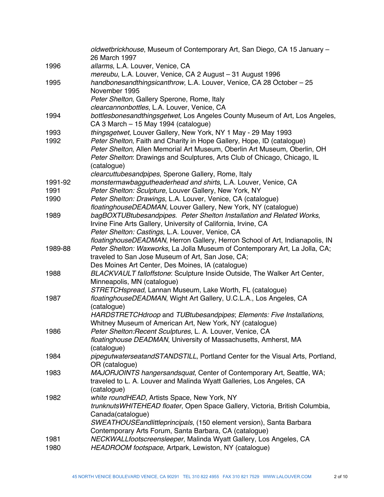|         | oldwetbrickhouse, Museum of Contemporary Art, San Diego, CA 15 January -<br>26 March 1997 |
|---------|-------------------------------------------------------------------------------------------|
| 1996    | allarms, L.A. Louver, Venice, CA                                                          |
|         | mereubu, L.A. Louver, Venice, CA 2 August - 31 August 1996                                |
| 1995    | handbonesandthingsicanthrow, L.A. Louver, Venice, CA 28 October - 25                      |
|         | November 1995                                                                             |
|         | Peter Shelton, Gallery Sperone, Rome, Italy                                               |
|         | clearcannonbottles, L.A. Louver, Venice, CA                                               |
| 1994    | bottlesbonesandthingsgetwet, Los Angeles County Museum of Art, Los Angeles,               |
|         | CA 3 March - 15 May 1994 (catalogue)                                                      |
| 1993    | thingsgetwet, Louver Gallery, New York, NY 1 May - 29 May 1993                            |
| 1992    | Peter Shelton, Faith and Charity in Hope Gallery, Hope, ID (catalogue)                    |
|         | Peter Shelton, Allen Memorial Art Museum, Oberlin Art Museum, Oberlin, OH                 |
|         | Peter Shelton: Drawings and Sculptures, Arts Club of Chicago, Chicago, IL                 |
|         | (catalogue)                                                                               |
|         | clearcuttubesandpipes, Sperone Gallery, Rome, Italy                                       |
| 1991-92 | monstermawbaggutheaderhead and shirts, L.A. Louver, Venice, CA                            |
| 1991    | Peter Shelton: Sculpture, Louver Gallery, New York, NY                                    |
| 1990    | Peter Shelton: Drawings, L.A. Louver, Venice, CA (catalogue)                              |
|         | floatinghouseDEADMAN, Louver Gallery, New York, NY (catalogue)                            |
| 1989    | bagBOXTUBtubesandpipes. Peter Shelton Installation and Related Works,                     |
|         | Irvine Fine Arts Gallery, University of California, Irvine, CA                            |
|         | Peter Shelton: Castings, L.A. Louver, Venice, CA                                          |
|         | floatinghouseDEADMAN, Herron Gallery, Herron School of Art, Indianapolis, IN              |
| 1989-88 | Peter Shelton: Waxworks, La Jolla Museum of Contemporary Art, La Jolla, CA;               |
|         | traveled to San Jose Museum of Art, San Jose, CA;                                         |
|         | Des Moines Art Center, Des Moines, IA (catalogue)                                         |
| 1988    | BLACKVAULT falloffstone: Sculpture Inside Outside, The Walker Art Center,                 |
|         | Minneapolis, MN (catalogue)                                                               |
|         | STRETCHspread, Lannan Museum, Lake Worth, FL (catalogue)                                  |
| 1987    | floatinghouseDEADMAN, Wight Art Gallery, U.C.L.A., Los Angeles, CA                        |
|         | (catalogue)                                                                               |
|         | HARDSTRETCHdroop and TUBtubesandpipes; Elements: Five Installations,                      |
|         | Whitney Museum of American Art, New York, NY (catalogue)                                  |
| 1986    | Peter Shelton: Recent Sculptures, L. A. Louver, Venice, CA                                |
|         | floatinghouse DEADMAN, University of Massachusetts, Amherst, MA                           |
|         | (catalogue)                                                                               |
| 1984    | pipegutwaterseatandSTANDSTILL, Portland Center for the Visual Arts, Portland,             |
|         | OR (catalogue)                                                                            |
| 1983    | MAJORJOINTS hangersandsquat, Center of Contemporary Art, Seattle, WA;                     |
|         | traveled to L. A. Louver and Malinda Wyatt Galleries, Los Angeles, CA                     |
|         | (catalogue)                                                                               |
| 1982    | white roundHEAD, Artists Space, New York, NY                                              |
|         | trunknutsWHITEHEAD floater, Open Space Gallery, Victoria, British Columbia,               |
|         | Canada(catalogue)                                                                         |
|         | SWEATHOUSE and little principals, (150 element version), Santa Barbara                    |
|         | Contemporary Arts Forum, Santa Barbara, CA (catalogue)                                    |
| 1981    | NECKWALLfootscreensleeper, Malinda Wyatt Gallery, Los Angeles, CA                         |
| 1980    | HEADROOM footspace, Artpark, Lewiston, NY (catalogue)                                     |
|         |                                                                                           |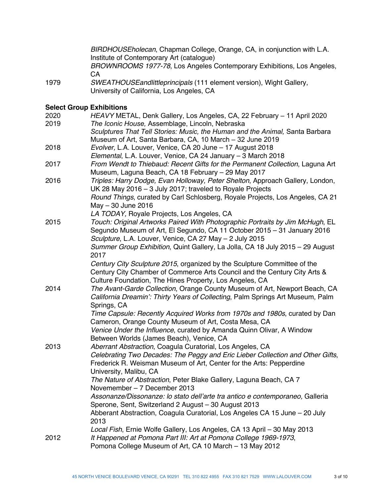*BIRDHOUSEholecan*, Chapman College, Orange, CA, in conjunction with L.A. Institute of Contemporary Art (catalogue) *BROWNROOMS 1977-78*, Los Angeles Contemporary Exhibitions, Los Angeles, **CA** 

1979 *SWEATHOUSEandlittleprincipals* (111 element version), Wight Gallery, University of California, Los Angeles, CA

### **Select Group Exhibitions**

| 2020<br>2019 | HEAVY METAL, Denk Gallery, Los Angeles, CA, 22 February - 11 April 2020<br>The Iconic House, Assemblage, Lincoln, Nebraska                  |
|--------------|---------------------------------------------------------------------------------------------------------------------------------------------|
|              | Sculptures That Tell Stories: Music, the Human and the Animal, Santa Barbara                                                                |
|              | Museum of Art, Santa Barbara, CA, 10 March - 32 June 2019                                                                                   |
| 2018         | Evolver, L.A. Louver, Venice, CA 20 June - 17 August 2018                                                                                   |
|              | Elemental, L.A. Louver, Venice, CA 24 January - 3 March 2018                                                                                |
| 2017         | From Wendt to Thiebaud: Recent Gifts for the Permanent Collection, Laguna Art<br>Museum, Laguna Beach, CA 18 February - 29 May 2017         |
| 2016         | Triples: Harry Dodge, Evan Holloway, Peter Shelton, Approach Gallery, London,                                                               |
|              | UK 28 May 2016 - 3 July 2017; traveled to Royale Projects                                                                                   |
|              | Round Things, curated by Carl Schlosberg, Royale Projects, Los Angeles, CA 21                                                               |
|              | May - 30 June 2016                                                                                                                          |
|              | LA TODAY, Royale Projects, Los Angeles, CA                                                                                                  |
| 2015         | Touch: Original Artworks Paired With Photographic Portraits by Jim McHugh, EL                                                               |
|              | Segundo Museum of Art, El Segundo, CA 11 October 2015 - 31 January 2016                                                                     |
|              | Sculpture, L.A. Louver, Venice, CA 27 May - 2 July 2015                                                                                     |
|              | Summer Group Exhibition, Quint Gallery, La Jolla, CA 18 July 2015 – 29 August                                                               |
|              | 2017                                                                                                                                        |
|              | Century City Sculpture 2015, organized by the Sculpture Committee of the                                                                    |
|              | Century City Chamber of Commerce Arts Council and the Century City Arts &                                                                   |
|              | Culture Foundation, The Hines Property, Los Angeles, CA                                                                                     |
| 2014         | The Avant-Garde Collection, Orange County Museum of Art, Newport Beach, CA                                                                  |
|              | California Dreamin': Thirty Years of Collecting, Palm Springs Art Museum, Palm                                                              |
|              | Springs, CA                                                                                                                                 |
|              | Time Capsule: Recently Acquired Works from 1970s and 1980s, curated by Dan                                                                  |
|              | Cameron, Orange County Museum of Art, Costa Mesa, CA                                                                                        |
|              | Venice Under the Influence, curated by Amanda Quinn Olivar, A Window                                                                        |
|              | Between Worlds (James Beach), Venice, CA                                                                                                    |
| 2013         | Aberrant Abstraction, Coagula Curatorial, Los Angeles, CA                                                                                   |
|              | Celebrating Two Decades: The Peggy and Eric Lieber Collection and Other Gifts,                                                              |
|              | Frederick R. Weisman Museum of Art, Center for the Arts: Pepperdine                                                                         |
|              | University, Malibu, CA                                                                                                                      |
|              | The Nature of Abstraction, Peter Blake Gallery, Laguna Beach, CA 7                                                                          |
|              | Novemember - 7 December 2013                                                                                                                |
|              | Assonanze/Dissonanze: lo stato dell'arte tra antico e contemporaneo, Galleria                                                               |
|              | Sperone, Sent, Switzerland 2 August - 30 August 2013                                                                                        |
|              | Abberant Abstraction, Coagula Curatorial, Los Angeles CA 15 June - 20 July                                                                  |
|              | 2013                                                                                                                                        |
| 2012         | Local Fish, Ernie Wolfe Gallery, Los Angeles, CA 13 April - 30 May 2013<br>It Happened at Pomona Part III: Art at Pomona College 1969-1973, |
|              | Pomona College Museum of Art, CA 10 March - 13 May 2012                                                                                     |
|              |                                                                                                                                             |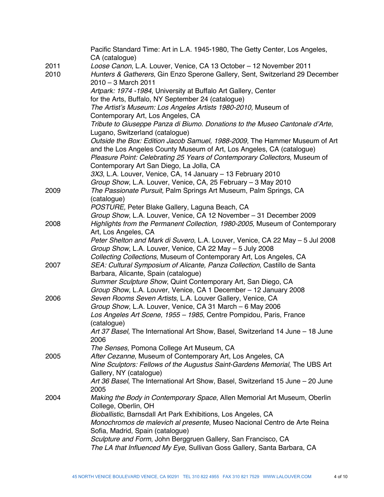|      | Pacific Standard Time: Art in L.A. 1945-1980, The Getty Center, Los Angeles,<br>CA (catalogue) |
|------|------------------------------------------------------------------------------------------------|
| 2011 | Loose Canon, L.A. Louver, Venice, CA 13 October - 12 November 2011                             |
| 2010 | Hunters & Gatherers, Gin Enzo Sperone Gallery, Sent, Switzerland 29 December                   |
|      | $2010 - 3$ March 2011                                                                          |
|      | Artpark: 1974 -1984, University at Buffalo Art Gallery, Center                                 |
|      |                                                                                                |
|      | for the Arts, Buffalo, NY September 24 (catalogue)                                             |
|      | The Artist's Museum: Los Angeles Artists 1980-2010, Museum of                                  |
|      | Contemporary Art, Los Angeles, CA                                                              |
|      | Tribute to Giuseppe Panza di Biumo. Donations to the Museo Cantonale d'Arte,                   |
|      | Lugano, Switzerland (catalogue)                                                                |
|      | Outside the Box: Edition Jacob Samuel, 1988-2009, The Hammer Museum of Art                     |
|      | and the Los Angeles County Museum of Art, Los Angeles, CA (catalogue)                          |
|      | Pleasure Point: Celebrating 25 Years of Contemporary Collectors, Museum of                     |
|      | Contemporary Art San Diego, La Jolla, CA                                                       |
|      | 3X3, L.A. Louver, Venice, CA, 14 January - 13 February 2010                                    |
|      | Group Show, L.A. Louver, Venice, CA, 25 February - 3 May 2010                                  |
| 2009 | The Passionate Pursuit, Palm Springs Art Museum, Palm Springs, CA                              |
|      | (catalogue)                                                                                    |
|      | POSTURE, Peter Blake Gallery, Laguna Beach, CA                                                 |
|      | Group Show, L.A. Louver, Venice, CA 12 November - 31 December 2009                             |
| 2008 | Highlights from the Permanent Collection, 1980-2005, Museum of Contemporary                    |
|      | Art, Los Angeles, CA                                                                           |
|      | Peter Shelton and Mark di Suvero, L.A. Louver, Venice, CA 22 May - 5 Jul 2008                  |
|      | Group Show, L.A. Louver, Venice, CA 22 May - 5 July 2008                                       |
|      | Collecting Collections, Museum of Contemporary Art, Los Angeles, CA                            |
| 2007 | SEA: Cultural Symposium of Alicante, Panza Collection, Castillo de Santa                       |
|      | Barbara, Alicante, Spain (catalogue)                                                           |
|      | Summer Sculpture Show, Quint Contemporary Art, San Diego, CA                                   |
|      | Group Show, L.A. Louver, Venice, CA 1 December - 12 January 2008                               |
| 2006 | Seven Rooms Seven Artists, L.A. Louver Gallery, Venice, CA                                     |
|      | Group Show, L.A. Louver, Venice, CA 31 March - 6 May 2006                                      |
|      | Los Angeles Art Scene, 1955 - 1985, Centre Pompidou, Paris, France                             |
|      | (catalogue)                                                                                    |
|      | Art 37 Basel, The International Art Show, Basel, Switzerland 14 June - 18 June                 |
|      | 2006                                                                                           |
|      | The Senses, Pomona College Art Museum, CA                                                      |
| 2005 | After Cezanne, Museum of Contemporary Art, Los Angeles, CA                                     |
|      | Nine Sculptors: Fellows of the Augustus Saint-Gardens Memorial, The UBS Art                    |
|      | Gallery, NY (catalogue)                                                                        |
|      | Art 36 Basel, The International Art Show, Basel, Switzerland 15 June - 20 June                 |
|      | 2005                                                                                           |
| 2004 | Making the Body in Contemporary Space, Allen Memorial Art Museum, Oberlin                      |
|      | College, Oberlin, OH                                                                           |
|      | Bioballistic, Barnsdall Art Park Exhibitions, Los Angeles, CA                                  |
|      | Monochromos de malevich al presente, Museo Nacional Centro de Arte Reina                       |
|      | Sofia, Madrid, Spain (catalogue)                                                               |
|      | Sculpture and Form, John Berggruen Gallery, San Francisco, CA                                  |
|      | The LA that Influenced My Eye, Sullivan Goss Gallery, Santa Barbara, CA                        |
|      |                                                                                                |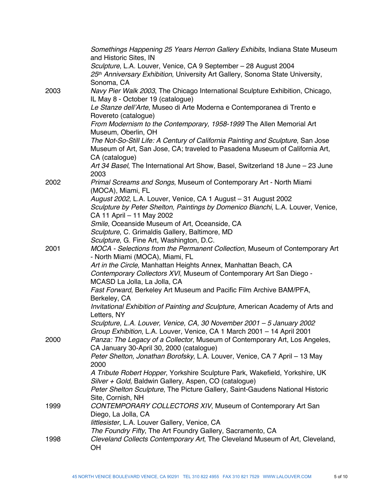|      | Somethings Happening 25 Years Herron Gallery Exhibits, Indiana State Museum<br>and Historic Sites, IN              |
|------|--------------------------------------------------------------------------------------------------------------------|
|      | Sculpture, L.A. Louver, Venice, CA 9 September - 28 August 2004                                                    |
|      | 25th Anniversary Exhibition, University Art Gallery, Sonoma State University,<br>Sonoma, CA                        |
| 2003 | Navy Pier Walk 2003, The Chicago International Sculpture Exhibition, Chicago,<br>IL May 8 - October 19 (catalogue) |
|      | Le Stanze dell'Arte, Museo di Arte Moderna e Contemporanea di Trento e                                             |
|      | Rovereto (catalogue)<br>From Modernism to the Contemporary, 1958-1999 The Allen Memorial Art                       |
|      | Museum, Oberlin, OH                                                                                                |
|      | The Not-So-Still Life: A Century of California Painting and Sculpture, San Jose                                    |
|      | Museum of Art, San Jose, CA; traveled to Pasadena Museum of California Art,                                        |
|      | CA (catalogue)                                                                                                     |
|      | Art 34 Basel, The International Art Show, Basel, Switzerland 18 June - 23 June<br>2003                             |
| 2002 | Primal Screams and Songs, Museum of Contemporary Art - North Miami<br>(MOCA), Miami, FL                            |
|      | August 2002, L.A. Louver, Venice, CA 1 August - 31 August 2002                                                     |
|      | Sculpture by Peter Shelton, Paintings by Domenico Bianchi, L.A. Louver, Venice,<br>CA 11 April - 11 May 2002       |
|      | Smile, Oceanside Museum of Art, Oceanside, CA                                                                      |
|      | Sculpture, C. Grimaldis Gallery, Baltimore, MD                                                                     |
|      | Sculpture, G. Fine Art, Washington, D.C.                                                                           |
| 2001 | MOCA - Selections from the Permanent Collection, Museum of Contemporary Art<br>- North Miami (MOCA), Miami, FL     |
|      | Art in the Circle, Manhattan Heights Annex, Manhattan Beach, CA                                                    |
|      | Contemporary Collectors XVI, Museum of Contemporary Art San Diego -                                                |
|      | MCASD La Jolla, La Jolla, CA                                                                                       |
|      | Fast Forward, Berkeley Art Museum and Pacific Film Archive BAM/PFA,<br>Berkeley, CA                                |
|      | Invitational Exhibition of Painting and Sculpture, American Academy of Arts and<br>Letters, NY                     |
|      | Sculpture, L.A. Louver, Venice, CA, 30 November 2001 - 5 January 2002                                              |
|      | Group Exhibition, L.A. Louver, Venice, CA 1 March 2001 - 14 April 2001                                             |
| 2000 | Panza: The Legacy of a Collector, Museum of Contemporary Art, Los Angeles,                                         |
|      | CA January 30-April 30, 2000 (catalogue)                                                                           |
|      | Peter Shelton, Jonathan Borofsky, L.A. Louver, Venice, CA 7 April - 13 May<br>2000                                 |
|      | A Tribute Robert Hopper, Yorkshire Sculpture Park, Wakefield, Yorkshire, UK                                        |
|      | Silver + Gold, Baldwin Gallery, Aspen, CO (catalogue)                                                              |
|      | Peter Shelton Sculpture, The Picture Gallery, Saint-Gaudens National Historic<br>Site, Cornish, NH                 |
| 1999 | CONTEMPORARY COLLECTORS XIV, Museum of Contemporary Art San                                                        |
|      | Diego, La Jolla, CA                                                                                                |
|      | littlesister, L.A. Louver Gallery, Venice, CA<br>The Foundry Fifty, The Art Foundry Gallery, Sacramento, CA        |
| 1998 | Cleveland Collects Contemporary Art, The Cleveland Museum of Art, Cleveland,                                       |
|      | OH                                                                                                                 |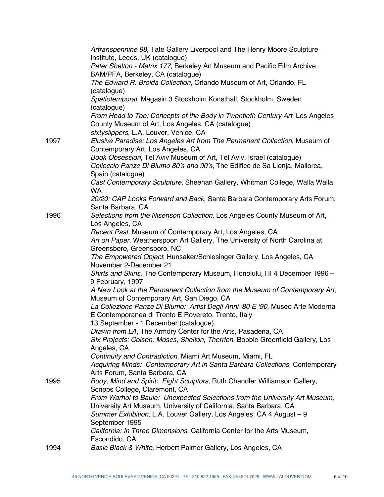|      | Artranspennine 98, Tate Gallery Liverpool and The Henry Moore Sculpture                                                              |
|------|--------------------------------------------------------------------------------------------------------------------------------------|
|      | Institute, Leeds, UK (catalogue)<br>Peter Shelton - Matrix 177, Berkeley Art Museum and Pacific Film Archive                         |
|      | BAM/PFA, Berkeley, CA (catalogue)                                                                                                    |
|      | The Edward R. Broida Collection, Orlando Museum of Art, Orlando, FL                                                                  |
|      | (catalogue)                                                                                                                          |
|      | Spatiotemporal, Magasin 3 Stockholm Konsthall, Stockholm, Sweden<br>(catalogue)                                                      |
|      | From Head to Toe: Concepts of the Body in Twentieth Century Art, Los Angeles<br>County Museum of Art, Los Angeles, CA (catalogue)    |
|      | sixtyslippers, L.A. Louver, Venice, CA                                                                                               |
| 1997 | Elusive Paradise: Los Angeles Art from The Permanent Collection, Museum of                                                           |
|      | Contemporary Art, Los Angeles, CA                                                                                                    |
|      | Book Obsession, Tel Aviv Museum of Art, Tel Aviv, Israel (catalogue)                                                                 |
|      | Colleccio Panze Di Biumo 80's and 90's, The Edifice de Sa Llonja, Mallorca,<br>Spain (catalogue)                                     |
|      | Cast Contemporary Sculpture, Sheehan Gallery, Whitman College, Walla Walla,                                                          |
|      | <b>WA</b>                                                                                                                            |
|      | 20/20: CAP Looks Forward and Back, Santa Barbara Contemporary Arts Forum,<br>Santa Barbara, CA                                       |
| 1996 | Selections from the Nisenson Collection, Los Angeles County Museum of Art,                                                           |
|      | Los Angeles, CA                                                                                                                      |
|      | Recent Past, Museum of Contemporary Art, Los Angeles, CA                                                                             |
|      | Art on Paper, Weatherspoon Art Gallery, The University of North Carolina at                                                          |
|      | Greensboro, Greensboro, NC                                                                                                           |
|      | The Empowered Object, Hunsaker/Schlesinger Gallery, Los Angeles, CA                                                                  |
|      | November 2-December 21                                                                                                               |
|      | Shirts and Skins, The Contemporary Museum, Honolulu, HI 4 December 1996 -                                                            |
|      | 9 February, 1997                                                                                                                     |
|      | A New Look at the Permanent Collection from the Museum of Contemporary Art,<br>Museum of Contemporary Art, San Diego, CA             |
|      | La Collezione Panze Di Biumo: Artist Degli Anni '80 E '90, Museo Arte Moderna<br>E Contemporanea di Trento E Rovereto, Trento, Italy |
|      | 13 September - 1 December (catalogue)                                                                                                |
|      | Drawn from LA, The Armory Center for the Arts, Pasadena, CA                                                                          |
|      | Six Projects: Colson, Moses, Shelton, Therrien, Bobbie Greenfield Gallery, Los<br>Angeles, CA                                        |
|      | Continuity and Contradiction, Miami Art Museum, Miami, FL                                                                            |
|      | Acquiring Minds: Contemporary Art in Santa Barbara Collections, Contemporary                                                         |
|      | Arts Forum, Santa Barbara, CA                                                                                                        |
| 1995 | Body, Mind and Spirit: Eight Sculptors, Ruth Chandler Williamson Gallery,                                                            |
|      | Scripps College, Claremont, CA<br>From Warhol to Baule: Unexpected Selections from the University Art Museum,                        |
|      | University Art Museum, University of California, Santa Barbara, CA                                                                   |
|      | Summer Exhibition, L.A. Louver Gallery, Los Angeles, CA 4 August - 9                                                                 |
|      | September 1995                                                                                                                       |
|      | California: In Three Dimensions, California Center for the Arts Museum,                                                              |
|      | Escondido, CA                                                                                                                        |
| 1994 | Basic Black & White, Herbert Palmer Gallery, Los Angeles, CA                                                                         |
|      |                                                                                                                                      |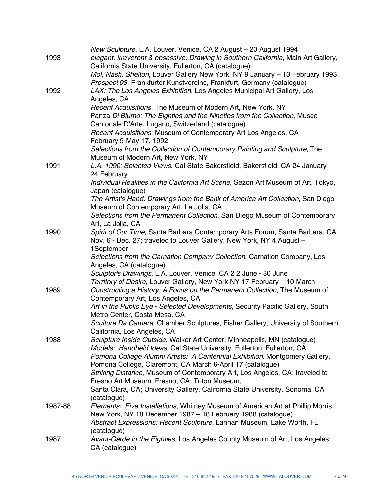| 1993    | New Sculpture, L.A. Louver, Venice, CA 2 August - 20 August 1994<br>elegant, irreverent & obsessive: Drawing in Southern California, Main Art Gallery,<br>California State University, Fullerton, CA (catalogue)<br>Mol, Nash, Shelton, Louver Gallery New York, NY 9 January - 13 February 1993 |
|---------|--------------------------------------------------------------------------------------------------------------------------------------------------------------------------------------------------------------------------------------------------------------------------------------------------|
| 1992    | Prospect 93, Frankfurter Kunstvereins, Frankfurt, Germany (catalogue)<br>LAX: The Los Angeles Exhibition, Los Angeles Municipal Art Gallery, Los<br>Angeles, CA                                                                                                                                  |
|         | Recent Acquisitions, The Museum of Modern Art, New York, NY<br>Panza Di Biumo: The Eighties and the Nineties from the Collection, Museo                                                                                                                                                          |
|         | Cantonale D'Arte, Lugano, Switzerland (catalogue)<br>Recent Acquisitions, Museum of Contemporary Art Los Angeles, CA<br>February 9-May 17, 1992                                                                                                                                                  |
|         | Selections from the Collection of Contemporary Painting and Sculpture, The<br>Museum of Modern Art, New York, NY                                                                                                                                                                                 |
| 1991    | L.A. 1990: Selected Views, Cal State Bakersfield, Bakersfield, CA 24 January -<br>24 February                                                                                                                                                                                                    |
|         | Individual Realities in the California Art Scene, Sezon Art Museum of Art, Tokyo,<br>Japan (catalogue)                                                                                                                                                                                           |
|         | The Artist's Hand: Drawings from the Bank of America Art Collection, San Diego<br>Museum of Contemporary Art, La Jolla, CA                                                                                                                                                                       |
|         | Selections from the Permanent Collection, San Diego Museum of Contemporary<br>Art, La Jolla, CA                                                                                                                                                                                                  |
| 1990    | Spirit of Our Time, Santa Barbara Contemporary Arts Forum, Santa Barbara, CA<br>Nov. 6 - Dec. 27; traveled to Louver Gallery, New York, NY 4 August -                                                                                                                                            |
|         | 1September<br>Selections from the Carnation Company Collection, Carnation Company, Los<br>Angeles, CA (catalogue)                                                                                                                                                                                |
|         | Sculptor's Drawings, L.A. Louver, Venice, CA 2 2 June - 30 June<br>Territory of Desire, Louver Gallery, New York NY 17 February - 10 March                                                                                                                                                       |
| 1989    | Constructing a History: A Focus on the Permanent Collection, The Museum of<br>Contemporary Art, Los Angeles, CA                                                                                                                                                                                  |
|         | Art in the Public Eye - Selected Developments, Security Pacific Gallery, South<br>Metro Center, Costa Mesa, CA                                                                                                                                                                                   |
|         | Sculture Da Camera, Chamber Sculptures, Fisher Gallery, University of Southern<br>California, Los Angeles, CA                                                                                                                                                                                    |
| 1988    | Sculpture Inside Outside, Walker Art Center, Minneapolis, MN (catalogue)<br>Models: Handheld Ideas, Cal State University, Fullerton, Fullerton, CA                                                                                                                                               |
|         | Pomona College Alumni Artists: A Centennial Exhibition, Montgomery Gallery,<br>Pomona College, Claremont, CA March 6-April 17 (catalogue)                                                                                                                                                        |
|         | Striking Distance, Museum of Contemporary Art, Los Angeles, CA; traveled to<br>Fresno Art Museum, Fresno, CA; Triton Museum,                                                                                                                                                                     |
|         | Santa Clara, CA; University Gallery, California State University, Sonoma, CA<br>(catalogue)                                                                                                                                                                                                      |
| 1987-88 | Elements: Five Installations, Whitney Museum of American Art at Phillip Morris,<br>New York, NY 18 December 1987 - 18 February 1988 (catalogue)<br>Abstract Expressions: Recent Sculpture, Lannan Museum, Lake Worth, FL                                                                         |
| 1987    | (catalogue)<br>Avant-Garde in the Eighties, Los Angeles County Museum of Art, Los Angeles,                                                                                                                                                                                                       |
|         | CA (catalogue)                                                                                                                                                                                                                                                                                   |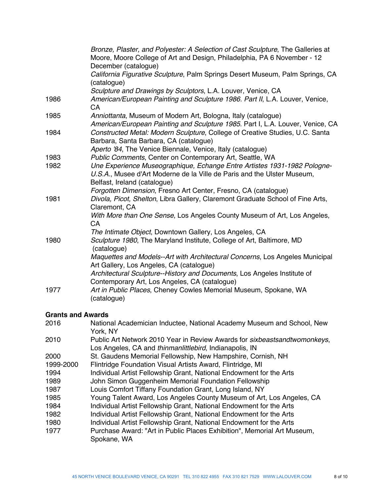| December (catalogue)<br>California Figurative Sculpture, Palm Springs Desert Museum, Palm Springs, CA                                                                               |
|-------------------------------------------------------------------------------------------------------------------------------------------------------------------------------------|
| (catalogue)                                                                                                                                                                         |
| Sculpture and Drawings by Sculptors, L.A. Louver, Venice, CA                                                                                                                        |
| American/European Painting and Sculpture 1986. Part II, L.A. Louver, Venice,<br>CA                                                                                                  |
| Anniottanta, Museum of Modern Art, Bologna, Italy (catalogue)<br>American/European Painting and Sculpture 1985. Part I, L.A. Louver, Venice, CA                                     |
| Constructed Metal: Modern Sculpture, College of Creative Studies, U.C. Santa<br>Barbara, Santa Barbara, CA (catalogue)                                                              |
| Aperto '84, The Venice Biennale, Venice, Italy (catalogue)                                                                                                                          |
| Public Comments, Center on Contemporary Art, Seattle, WA                                                                                                                            |
| Une Experience Museographique, Echange Entre Artistes 1931-1982 Pologne-<br>U.S.A., Musee d'Art Moderne de la Ville de Paris and the Ulster Museum,<br>Belfast, Ireland (catalogue) |
| Forgotten Dimension, Fresno Art Center, Fresno, CA (catalogue)                                                                                                                      |
| Divola, Picot, Shelton, Libra Gallery, Claremont Graduate School of Fine Arts,<br>Claremont, CA                                                                                     |
| With More than One Sense, Los Angeles County Museum of Art, Los Angeles,<br>CA                                                                                                      |
| The Intimate Object, Downtown Gallery, Los Angeles, CA                                                                                                                              |
| Sculpture 1980, The Maryland Institute, College of Art, Baltimore, MD<br>(catalogue)                                                                                                |
| Maquettes and Models--Art with Architectural Concerns, Los Angeles Municipal<br>Art Gallery, Los Angeles, CA (catalogue)                                                            |
| Architectural Sculpture--History and Documents, Los Angeles Institute of<br>Contemporary Art, Los Angeles, CA (catalogue)                                                           |
| Art in Public Places, Cheney Cowles Memorial Museum, Spokane, WA<br>(catalogue)                                                                                                     |
|                                                                                                                                                                                     |

# **Grants and Awards**

| 2016      | National Academician Inductee, National Academy Museum and School, New<br>York, NY                                                           |
|-----------|----------------------------------------------------------------------------------------------------------------------------------------------|
| 2010      | Public Art Network 2010 Year in Review Awards for <i>sixbeastsandtwomonkeys</i> ,<br>Los Angeles, CA and thinmanlittlebird, Indianapolis, IN |
| 2000      | St. Gaudens Memorial Fellowship, New Hampshire, Cornish, NH                                                                                  |
| 1999-2000 | Flintridge Foundation Visual Artists Award, Flintridge, MI                                                                                   |
| 1994      | Individual Artist Fellowship Grant, National Endowment for the Arts                                                                          |
| 1989      | John Simon Guggenheim Memorial Foundation Fellowship                                                                                         |
| 1987      | Louis Comfort Tiffany Foundation Grant, Long Island, NY                                                                                      |
| 1985      | Young Talent Award, Los Angeles County Museum of Art, Los Angeles, CA                                                                        |
| 1984      | Individual Artist Fellowship Grant, National Endowment for the Arts                                                                          |
| 1982      | Individual Artist Fellowship Grant, National Endowment for the Arts                                                                          |
| 1980      | Individual Artist Fellowship Grant, National Endowment for the Arts                                                                          |
| 1977      | Purchase Award: "Art in Public Places Exhibition", Memorial Art Museum,<br>Spokane, WA                                                       |
|           |                                                                                                                                              |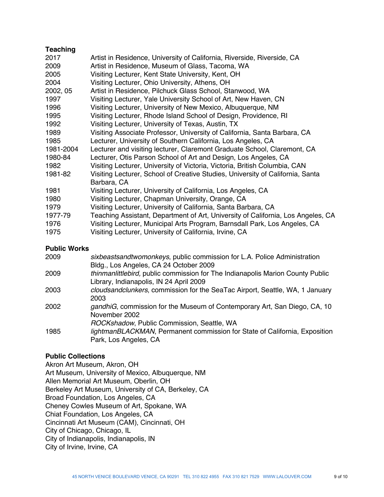# **Teaching**

| 2017      | Artist in Residence, University of California, Riverside, Riverside, CA          |
|-----------|----------------------------------------------------------------------------------|
| 2009      | Artist in Residence, Museum of Glass, Tacoma, WA                                 |
| 2005      | Visiting Lecturer, Kent State University, Kent, OH                               |
| 2004      | Visiting Lecturer, Ohio University, Athens, OH                                   |
| 2002, 05  | Artist in Residence, Pilchuck Glass School, Stanwood, WA                         |
| 1997      | Visiting Lecturer, Yale University School of Art, New Haven, CN                  |
| 1996      | Visiting Lecturer, University of New Mexico, Albuquerque, NM                     |
| 1995      | Visiting Lecturer, Rhode Island School of Design, Providence, RI                 |
| 1992      | Visiting Lecturer, University of Texas, Austin, TX                               |
| 1989      | Visiting Associate Professor, University of California, Santa Barbara, CA        |
| 1985      | Lecturer, University of Southern California, Los Angeles, CA                     |
| 1981-2004 | Lecturer and visiting lecturer, Claremont Graduate School, Claremont, CA         |
| 1980-84   | Lecturer, Otis Parson School of Art and Design, Los Angeles, CA                  |
| 1982      | Visiting Lecturer, University of Victoria, Victoria, British Columbia, CAN       |
| 1981-82   | Visiting Lecturer, School of Creative Studies, University of California, Santa   |
|           | Barbara, CA                                                                      |
| 1981      | Visiting Lecturer, University of California, Los Angeles, CA                     |
| 1980      | Visiting Lecturer, Chapman University, Orange, CA                                |
| 1979      | Visiting Lecturer, University of California, Santa Barbara, CA                   |
| 1977-79   | Teaching Assistant, Department of Art, University of California, Los Angeles, CA |
| 1976      | Visiting Lecturer, Municipal Arts Program, Barnsdall Park, Los Angeles, CA       |
| 1975      | Visiting Lecturer, University of California, Irvine, CA                          |
|           |                                                                                  |

#### **Public Works**

| 2009 | sixbeastsandtwomonkeys, public commission for L.A. Police Administration<br>Bldg., Los Angeles, CA 24 October 2009                                |
|------|---------------------------------------------------------------------------------------------------------------------------------------------------|
| 2009 | thinmanlittlebird, public commission for The Indianapolis Marion County Public<br>Library, Indianapolis, IN 24 April 2009                         |
| 2003 | cloudsandclunkers, commission for the SeaTac Airport, Seattle, WA, 1 January<br>2003                                                              |
| 2002 | gandhiG, commission for the Museum of Contemporary Art, San Diego, CA, 10<br>November 2002                                                        |
| 1985 | ROCKshadow, Public Commission, Seattle, WA<br>lightmanBLACKMAN, Permanent commission for State of California, Exposition<br>Park, Los Angeles, CA |

### **Public Collections**

Akron Art Museum, Akron, OH Art Museum, University of Mexico, Albuquerque, NM Allen Memorial Art Museum, Oberlin, OH Berkeley Art Museum, University of CA, Berkeley, CA Broad Foundation, Los Angeles, CA Cheney Cowles Museum of Art, Spokane, WA Chiat Foundation, Los Angeles, CA Cincinnati Art Museum (CAM), Cincinnati, OH City of Chicago, Chicago, IL City of Indianapolis, Indianapolis, IN City of Irvine, Irvine, CA